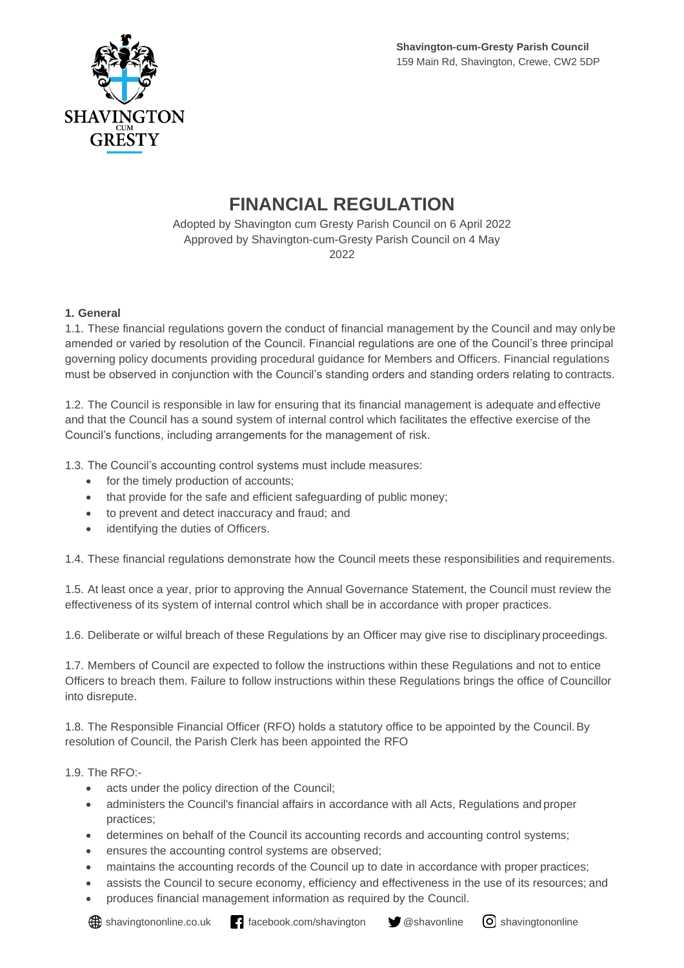

# **FINANCIAL REGULATION**

Adopted by Shavington cum Gresty Parish Council on 6 April 2022 Approved by Shavington-cum-Gresty Parish Council on 4 May 2022

# **1. General**

1.1. These financial regulations govern the conduct of financial management by the Council and may onlybe amended or varied by resolution of the Council. Financial regulations are one of the Council's three principal governing policy documents providing procedural guidance for Members and Officers. Financial regulations must be observed in conjunction with the Council's standing orders and standing orders relating to contracts.

1.2. The Council is responsible in law for ensuring that its financial management is adequate and effective and that the Council has a sound system of internal control which facilitates the effective exercise of the Council's functions, including arrangements for the management of risk.

1.3. The Council's accounting control systems must include measures:

- for the timely production of accounts;
- that provide for the safe and efficient safeguarding of public money;
- to prevent and detect inaccuracy and fraud; and
- identifying the duties of Officers.

1.4. These financial regulations demonstrate how the Council meets these responsibilities and requirements.

1.5. At least once a year, prior to approving the Annual Governance Statement, the Council must review the effectiveness of its system of internal control which shall be in accordance with proper practices.

1.6. Deliberate or wilful breach of these Regulations by an Officer may give rise to disciplinary proceedings.

1.7. Members of Council are expected to follow the instructions within these Regulations and not to entice Officers to breach them. Failure to follow instructions within these Regulations brings the office of Councillor into disrepute.

1.8. The Responsible Financial Officer (RFO) holds a statutory office to be appointed by the Council.By resolution of Council, the Parish Clerk has been appointed the RFO

1.9. The RFO:-

- acts under the policy direction of the Council;
- administers the Council's financial affairs in accordance with all Acts, Regulations and proper practices;
- determines on behalf of the Council its accounting records and accounting control systems;
- ensures the accounting control systems are observed;
- maintains the accounting records of the Council up to date in accordance with proper practices;
- assists the Council to secure economy, efficiency and effectiveness in the use of its resources; and • produces financial management information as required by the Council.
-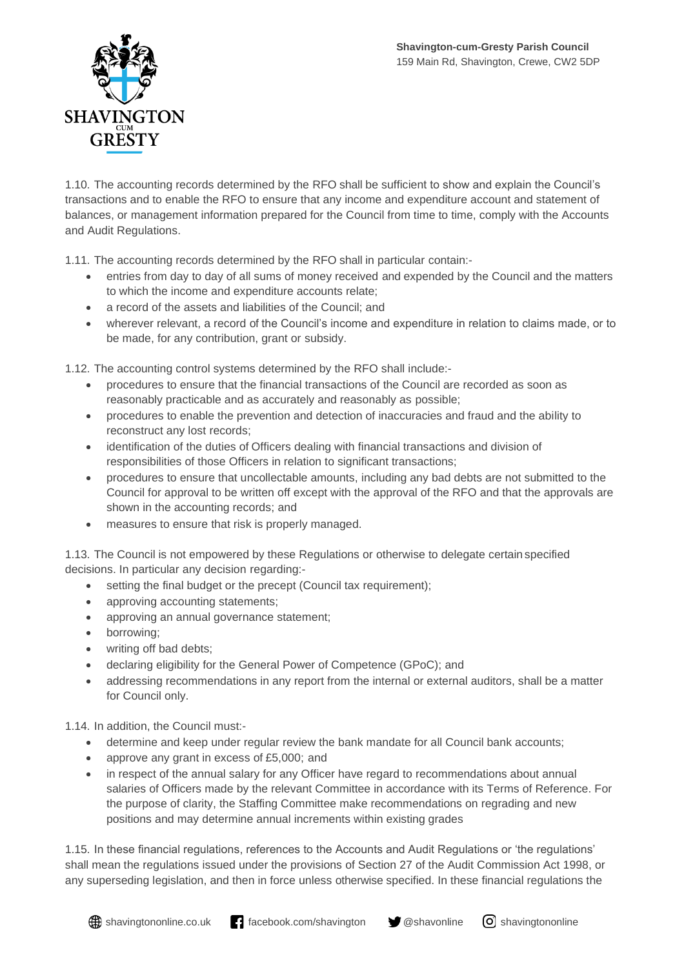

1.10. The accounting records determined by the RFO shall be sufficient to show and explain the Council's transactions and to enable the RFO to ensure that any income and expenditure account and statement of balances, or management information prepared for the Council from time to time, comply with the Accounts and Audit Regulations.

1.11. The accounting records determined by the RFO shall in particular contain:-

- entries from day to day of all sums of money received and expended by the Council and the matters to which the income and expenditure accounts relate;
- a record of the assets and liabilities of the Council; and
- wherever relevant, a record of the Council's income and expenditure in relation to claims made, or to be made, for any contribution, grant or subsidy.

1.12. The accounting control systems determined by the RFO shall include:-

- procedures to ensure that the financial transactions of the Council are recorded as soon as reasonably practicable and as accurately and reasonably as possible;
- procedures to enable the prevention and detection of inaccuracies and fraud and the ability to reconstruct any lost records;
- identification of the duties of Officers dealing with financial transactions and division of responsibilities of those Officers in relation to significant transactions;
- procedures to ensure that uncollectable amounts, including any bad debts are not submitted to the Council for approval to be written off except with the approval of the RFO and that the approvals are shown in the accounting records; and
- measures to ensure that risk is properly managed.

1.13. The Council is not empowered by these Regulations or otherwise to delegate certain specified decisions. In particular any decision regarding:-

- setting the final budget or the precept (Council tax requirement);
- approving accounting statements;
- approving an annual governance statement;
- borrowing;
- writing off bad debts;
- declaring eligibility for the General Power of Competence (GPoC); and
- addressing recommendations in any report from the internal or external auditors, shall be a matter for Council only.

1.14. In addition, the Council must:-

- determine and keep under regular review the bank mandate for all Council bank accounts;
- approve any grant in excess of £5,000; and
- in respect of the annual salary for any Officer have regard to recommendations about annual salaries of Officers made by the relevant Committee in accordance with its Terms of Reference. For the purpose of clarity, the Staffing Committee make recommendations on regrading and new positions and may determine annual increments within existing grades

1.15. In these financial regulations, references to the Accounts and Audit Regulations or 'the regulations' shall mean the regulations issued under the provisions of Section 27 of the Audit Commission Act 1998, or any superseding legislation, and then in force unless otherwise specified. In these financial regulations the

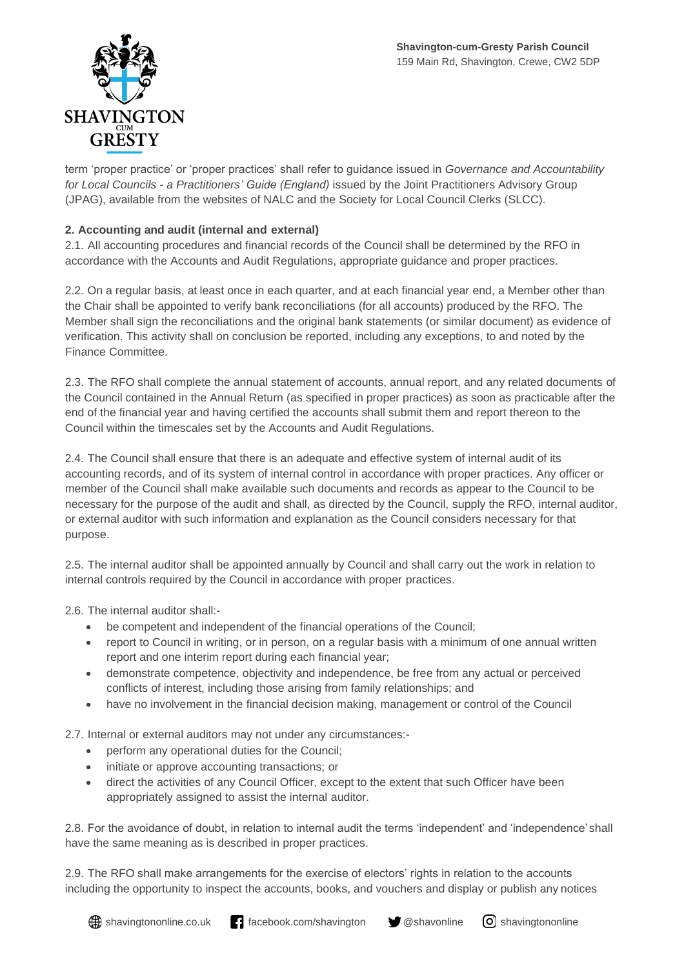

term 'proper practice' or 'proper practices' shall refer to guidance issued in *Governance and Accountability for Local Councils - a Practitioners' Guide (England)* issued by the Joint Practitioners Advisory Group (JPAG), available from the websites of NALC and the Society for Local Council Clerks (SLCC).

# **2. Accounting and audit (internal and external)**

2.1. All accounting procedures and financial records of the Council shall be determined by the RFO in accordance with the Accounts and Audit Regulations, appropriate guidance and proper practices.

2.2. On a regular basis, at least once in each quarter, and at each financial year end, a Member other than the Chair shall be appointed to verify bank reconciliations (for all accounts) produced by the RFO. The Member shall sign the reconciliations and the original bank statements (or similar document) as evidence of verification. This activity shall on conclusion be reported, including any exceptions, to and noted by the Finance Committee.

2.3. The RFO shall complete the annual statement of accounts, annual report, and any related documents of the Council contained in the Annual Return (as specified in proper practices) as soon as practicable after the end of the financial year and having certified the accounts shall submit them and report thereon to the Council within the timescales set by the Accounts and Audit Regulations.

2.4. The Council shall ensure that there is an adequate and effective system of internal audit of its accounting records, and of its system of internal control in accordance with proper practices. Any officer or member of the Council shall make available such documents and records as appear to the Council to be necessary for the purpose of the audit and shall, as directed by the Council, supply the RFO, internal auditor, or external auditor with such information and explanation as the Council considers necessary for that purpose.

2.5. The internal auditor shall be appointed annually by Council and shall carry out the work in relation to internal controls required by the Council in accordance with proper practices.

2.6. The internal auditor shall:-

- be competent and independent of the financial operations of the Council;
- report to Council in writing, or in person, on a regular basis with a minimum of one annual written report and one interim report during each financial year;
- demonstrate competence, objectivity and independence, be free from any actual or perceived conflicts of interest, including those arising from family relationships; and
- have no involvement in the financial decision making, management or control of the Council

2.7. Internal or external auditors may not under any circumstances:-

- perform any operational duties for the Council;
- initiate or approve accounting transactions; or
- direct the activities of any Council Officer, except to the extent that such Officer have been appropriately assigned to assist the internal auditor.

2.8. For the avoidance of doubt, in relation to internal audit the terms 'independent' and 'independence' shall have the same meaning as is described in proper practices.

2.9. The RFO shall make arrangements for the exercise of electors' rights in relation to the accounts including the opportunity to inspect the accounts, books, and vouchers and display or publish any notices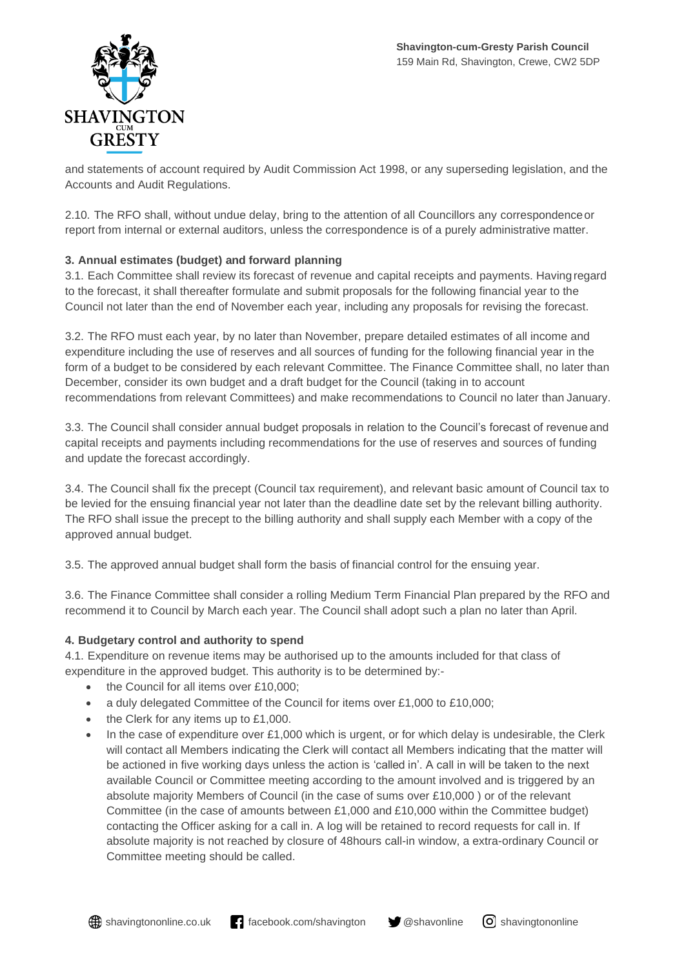

and statements of account required by Audit Commission Act 1998, or any superseding legislation, and the Accounts and Audit Regulations.

2.10. The RFO shall, without undue delay, bring to the attention of all Councillors any correspondenceor report from internal or external auditors, unless the correspondence is of a purely administrative matter.

# **3. Annual estimates (budget) and forward planning**

3.1. Each Committee shall review its forecast of revenue and capital receipts and payments. Havingregard to the forecast, it shall thereafter formulate and submit proposals for the following financial year to the Council not later than the end of November each year, including any proposals for revising the forecast.

3.2. The RFO must each year, by no later than November, prepare detailed estimates of all income and expenditure including the use of reserves and all sources of funding for the following financial year in the form of a budget to be considered by each relevant Committee. The Finance Committee shall, no later than December, consider its own budget and a draft budget for the Council (taking in to account recommendations from relevant Committees) and make recommendations to Council no later than January.

3.3. The Council shall consider annual budget proposals in relation to the Council's forecast of revenue and capital receipts and payments including recommendations for the use of reserves and sources of funding and update the forecast accordingly.

3.4. The Council shall fix the precept (Council tax requirement), and relevant basic amount of Council tax to be levied for the ensuing financial year not later than the deadline date set by the relevant billing authority. The RFO shall issue the precept to the billing authority and shall supply each Member with a copy of the approved annual budget.

3.5. The approved annual budget shall form the basis of financial control for the ensuing year.

3.6. The Finance Committee shall consider a rolling Medium Term Financial Plan prepared by the RFO and recommend it to Council by March each year. The Council shall adopt such a plan no later than April.

# **4. Budgetary control and authority to spend**

4.1. Expenditure on revenue items may be authorised up to the amounts included for that class of expenditure in the approved budget. This authority is to be determined by:-

- the Council for all items over £10,000:
- a duly delegated Committee of the Council for items over £1,000 to £10,000;
- the Clerk for any items up to £1,000.
- In the case of expenditure over £1,000 which is urgent, or for which delay is undesirable, the Clerk will contact all Members indicating the Clerk will contact all Members indicating that the matter will be actioned in five working days unless the action is 'called in'. A call in will be taken to the next available Council or Committee meeting according to the amount involved and is triggered by an absolute majority Members of Council (in the case of sums over £10,000 ) or of the relevant Committee (in the case of amounts between £1,000 and £10,000 within the Committee budget) contacting the Officer asking for a call in. A log will be retained to record requests for call in. If absolute majority is not reached by closure of 48hours call-in window, a extra-ordinary Council or Committee meeting should be called.

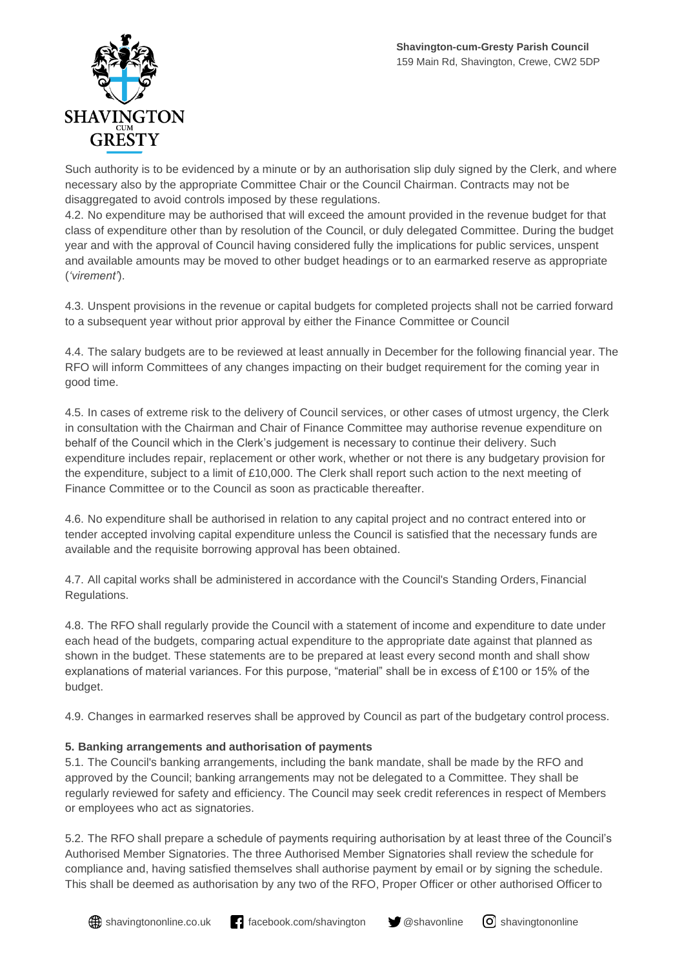

Such authority is to be evidenced by a minute or by an authorisation slip duly signed by the Clerk, and where necessary also by the appropriate Committee Chair or the Council Chairman. Contracts may not be disaggregated to avoid controls imposed by these regulations.

4.2. No expenditure may be authorised that will exceed the amount provided in the revenue budget for that class of expenditure other than by resolution of the Council, or duly delegated Committee. During the budget year and with the approval of Council having considered fully the implications for public services, unspent and available amounts may be moved to other budget headings or to an earmarked reserve as appropriate (*'virement'*).

4.3. Unspent provisions in the revenue or capital budgets for completed projects shall not be carried forward to a subsequent year without prior approval by either the Finance Committee or Council

4.4. The salary budgets are to be reviewed at least annually in December for the following financial year. The RFO will inform Committees of any changes impacting on their budget requirement for the coming year in good time.

4.5. In cases of extreme risk to the delivery of Council services, or other cases of utmost urgency, the Clerk in consultation with the Chairman and Chair of Finance Committee may authorise revenue expenditure on behalf of the Council which in the Clerk's judgement is necessary to continue their delivery. Such expenditure includes repair, replacement or other work, whether or not there is any budgetary provision for the expenditure, subject to a limit of £10,000. The Clerk shall report such action to the next meeting of Finance Committee or to the Council as soon as practicable thereafter.

4.6. No expenditure shall be authorised in relation to any capital project and no contract entered into or tender accepted involving capital expenditure unless the Council is satisfied that the necessary funds are available and the requisite borrowing approval has been obtained.

4.7. All capital works shall be administered in accordance with the Council's Standing Orders, Financial Regulations.

4.8. The RFO shall regularly provide the Council with a statement of income and expenditure to date under each head of the budgets, comparing actual expenditure to the appropriate date against that planned as shown in the budget. These statements are to be prepared at least every second month and shall show explanations of material variances. For this purpose, "material" shall be in excess of £100 or 15% of the budget.

4.9. Changes in earmarked reserves shall be approved by Council as part of the budgetary control process.

# **5. Banking arrangements and authorisation of payments**

5.1. The Council's banking arrangements, including the bank mandate, shall be made by the RFO and approved by the Council; banking arrangements may not be delegated to a Committee. They shall be regularly reviewed for safety and efficiency. The Council may seek credit references in respect of Members or employees who act as signatories.

5.2. The RFO shall prepare a schedule of payments requiring authorisation by at least three of the Council's Authorised Member Signatories. The three Authorised Member Signatories shall review the schedule for compliance and, having satisfied themselves shall authorise payment by email or by signing the schedule. This shall be deemed as authorisation by any two of the RFO, Proper Officer or other authorised Officer to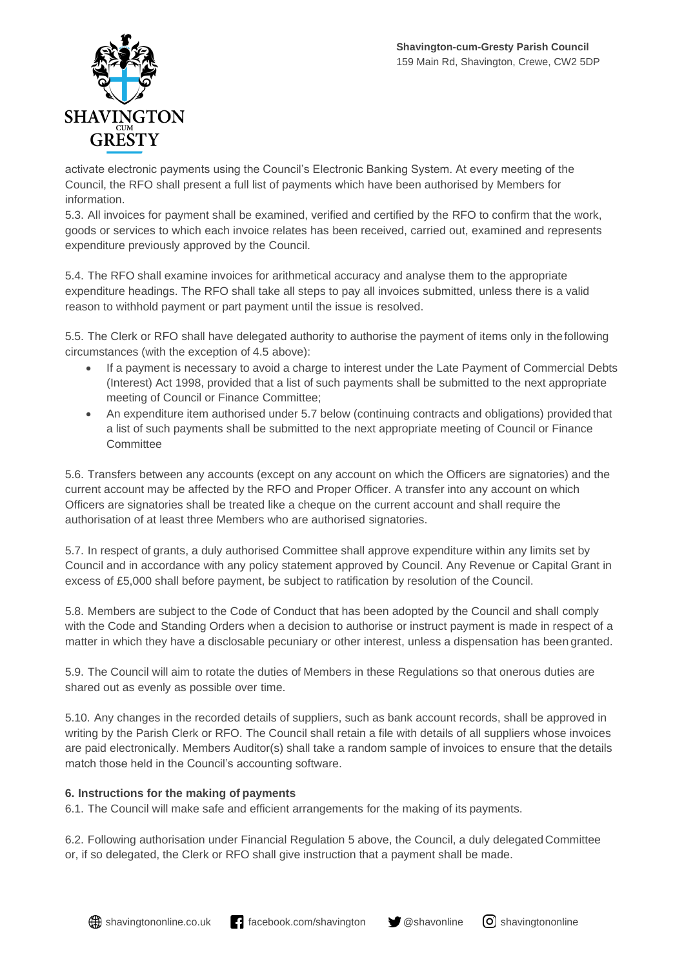

activate electronic payments using the Council's Electronic Banking System. At every meeting of the Council, the RFO shall present a full list of payments which have been authorised by Members for information.

5.3. All invoices for payment shall be examined, verified and certified by the RFO to confirm that the work, goods or services to which each invoice relates has been received, carried out, examined and represents expenditure previously approved by the Council.

5.4. The RFO shall examine invoices for arithmetical accuracy and analyse them to the appropriate expenditure headings. The RFO shall take all steps to pay all invoices submitted, unless there is a valid reason to withhold payment or part payment until the issue is resolved.

5.5. The Clerk or RFO shall have delegated authority to authorise the payment of items only in thefollowing circumstances (with the exception of 4.5 above):

- If a payment is necessary to avoid a charge to interest under the Late Payment of Commercial Debts (Interest) Act 1998, provided that a list of such payments shall be submitted to the next appropriate meeting of Council or Finance Committee;
- An expenditure item authorised under 5.7 below (continuing contracts and obligations) provided that a list of such payments shall be submitted to the next appropriate meeting of Council or Finance **Committee**

5.6. Transfers between any accounts (except on any account on which the Officers are signatories) and the current account may be affected by the RFO and Proper Officer. A transfer into any account on which Officers are signatories shall be treated like a cheque on the current account and shall require the authorisation of at least three Members who are authorised signatories.

5.7. In respect of grants, a duly authorised Committee shall approve expenditure within any limits set by Council and in accordance with any policy statement approved by Council. Any Revenue or Capital Grant in excess of £5,000 shall before payment, be subject to ratification by resolution of the Council.

5.8. Members are subject to the Code of Conduct that has been adopted by the Council and shall comply with the Code and Standing Orders when a decision to authorise or instruct payment is made in respect of a matter in which they have a disclosable pecuniary or other interest, unless a dispensation has been granted.

5.9. The Council will aim to rotate the duties of Members in these Regulations so that onerous duties are shared out as evenly as possible over time.

5.10. Any changes in the recorded details of suppliers, such as bank account records, shall be approved in writing by the Parish Clerk or RFO. The Council shall retain a file with details of all suppliers whose invoices are paid electronically. Members Auditor(s) shall take a random sample of invoices to ensure that the details match those held in the Council's accounting software.

# **6. Instructions for the making of payments**

6.1. The Council will make safe and efficient arrangements for the making of its payments.

6.2. Following authorisation under Financial Regulation 5 above, the Council, a duly delegated Committee or, if so delegated, the Clerk or RFO shall give instruction that a payment shall be made.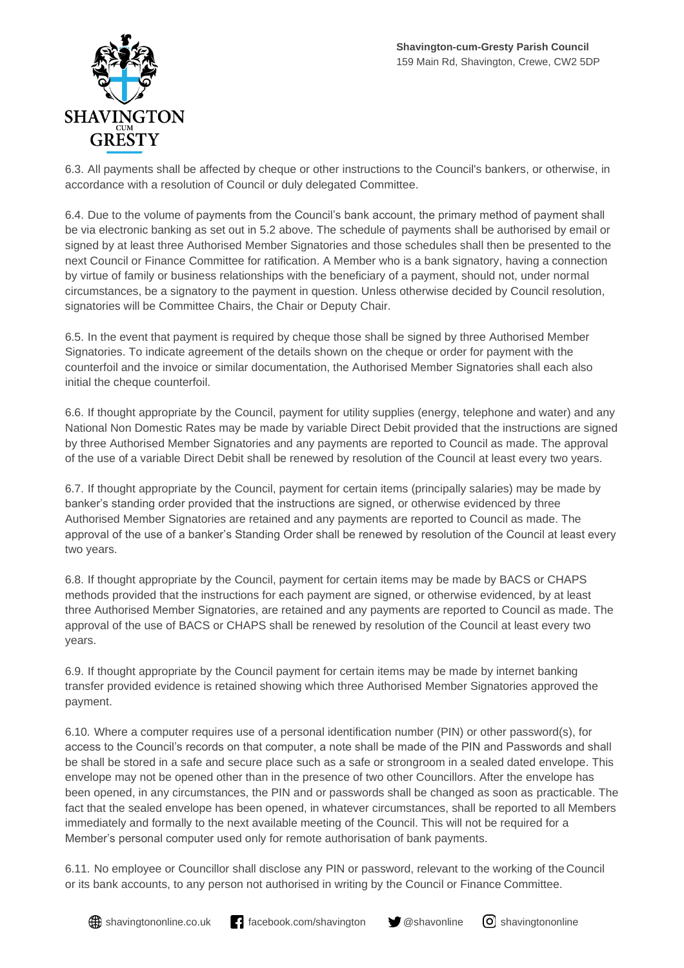

6.3. All payments shall be affected by cheque or other instructions to the Council's bankers, or otherwise, in accordance with a resolution of Council or duly delegated Committee.

6.4. Due to the volume of payments from the Council's bank account, the primary method of payment shall be via electronic banking as set out in 5.2 above. The schedule of payments shall be authorised by email or signed by at least three Authorised Member Signatories and those schedules shall then be presented to the next Council or Finance Committee for ratification. A Member who is a bank signatory, having a connection by virtue of family or business relationships with the beneficiary of a payment, should not, under normal circumstances, be a signatory to the payment in question. Unless otherwise decided by Council resolution, signatories will be Committee Chairs, the Chair or Deputy Chair.

6.5. In the event that payment is required by cheque those shall be signed by three Authorised Member Signatories. To indicate agreement of the details shown on the cheque or order for payment with the counterfoil and the invoice or similar documentation, the Authorised Member Signatories shall each also initial the cheque counterfoil.

6.6. If thought appropriate by the Council, payment for utility supplies (energy, telephone and water) and any National Non Domestic Rates may be made by variable Direct Debit provided that the instructions are signed by three Authorised Member Signatories and any payments are reported to Council as made. The approval of the use of a variable Direct Debit shall be renewed by resolution of the Council at least every two years.

6.7. If thought appropriate by the Council, payment for certain items (principally salaries) may be made by banker's standing order provided that the instructions are signed, or otherwise evidenced by three Authorised Member Signatories are retained and any payments are reported to Council as made. The approval of the use of a banker's Standing Order shall be renewed by resolution of the Council at least every two years.

6.8. If thought appropriate by the Council, payment for certain items may be made by BACS or CHAPS methods provided that the instructions for each payment are signed, or otherwise evidenced, by at least three Authorised Member Signatories, are retained and any payments are reported to Council as made. The approval of the use of BACS or CHAPS shall be renewed by resolution of the Council at least every two years.

6.9. If thought appropriate by the Council payment for certain items may be made by internet banking transfer provided evidence is retained showing which three Authorised Member Signatories approved the payment.

6.10. Where a computer requires use of a personal identification number (PIN) or other password(s), for access to the Council's records on that computer, a note shall be made of the PIN and Passwords and shall be shall be stored in a safe and secure place such as a safe or strongroom in a sealed dated envelope. This envelope may not be opened other than in the presence of two other Councillors. After the envelope has been opened, in any circumstances, the PIN and or passwords shall be changed as soon as practicable. The fact that the sealed envelope has been opened, in whatever circumstances, shall be reported to all Members immediately and formally to the next available meeting of the Council. This will not be required for a Member's personal computer used only for remote authorisation of bank payments.

6.11. No employee or Councillor shall disclose any PIN or password, relevant to the working of the Council or its bank accounts, to any person not authorised in writing by the Council or Finance Committee.

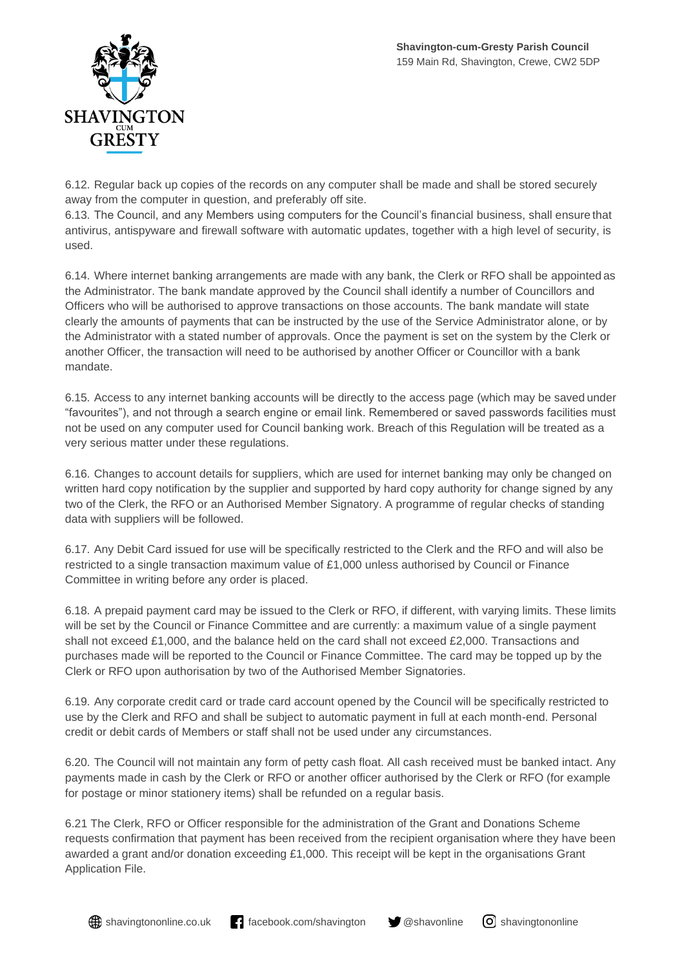

6.12. Regular back up copies of the records on any computer shall be made and shall be stored securely away from the computer in question, and preferably off site.

6.13. The Council, and any Members using computers for the Council's financial business, shall ensure that antivirus, antispyware and firewall software with automatic updates, together with a high level of security, is used.

6.14. Where internet banking arrangements are made with any bank, the Clerk or RFO shall be appointed as the Administrator. The bank mandate approved by the Council shall identify a number of Councillors and Officers who will be authorised to approve transactions on those accounts. The bank mandate will state clearly the amounts of payments that can be instructed by the use of the Service Administrator alone, or by the Administrator with a stated number of approvals. Once the payment is set on the system by the Clerk or another Officer, the transaction will need to be authorised by another Officer or Councillor with a bank mandate.

6.15. Access to any internet banking accounts will be directly to the access page (which may be saved under "favourites"), and not through a search engine or email link. Remembered or saved passwords facilities must not be used on any computer used for Council banking work. Breach of this Regulation will be treated as a very serious matter under these regulations.

6.16. Changes to account details for suppliers, which are used for internet banking may only be changed on written hard copy notification by the supplier and supported by hard copy authority for change signed by any two of the Clerk, the RFO or an Authorised Member Signatory. A programme of regular checks of standing data with suppliers will be followed.

6.17. Any Debit Card issued for use will be specifically restricted to the Clerk and the RFO and will also be restricted to a single transaction maximum value of £1,000 unless authorised by Council or Finance Committee in writing before any order is placed.

6.18. A prepaid payment card may be issued to the Clerk or RFO, if different, with varying limits. These limits will be set by the Council or Finance Committee and are currently: a maximum value of a single payment shall not exceed £1,000, and the balance held on the card shall not exceed £2,000. Transactions and purchases made will be reported to the Council or Finance Committee. The card may be topped up by the Clerk or RFO upon authorisation by two of the Authorised Member Signatories.

6.19. Any corporate credit card or trade card account opened by the Council will be specifically restricted to use by the Clerk and RFO and shall be subject to automatic payment in full at each month-end. Personal credit or debit cards of Members or staff shall not be used under any circumstances.

6.20. The Council will not maintain any form of petty cash float. All cash received must be banked intact. Any payments made in cash by the Clerk or RFO or another officer authorised by the Clerk or RFO (for example for postage or minor stationery items) shall be refunded on a regular basis.

6.21 The Clerk, RFO or Officer responsible for the administration of the Grant and Donations Scheme requests confirmation that payment has been received from the recipient organisation where they have been awarded a grant and/or donation exceeding £1,000. This receipt will be kept in the organisations Grant Application File.

**(#)** shavingtononline.co.uk **f**acebook.com/shavington  $\blacktriangledown$  @shavonline  $\lceil \Theta \rceil$  shavingtononline

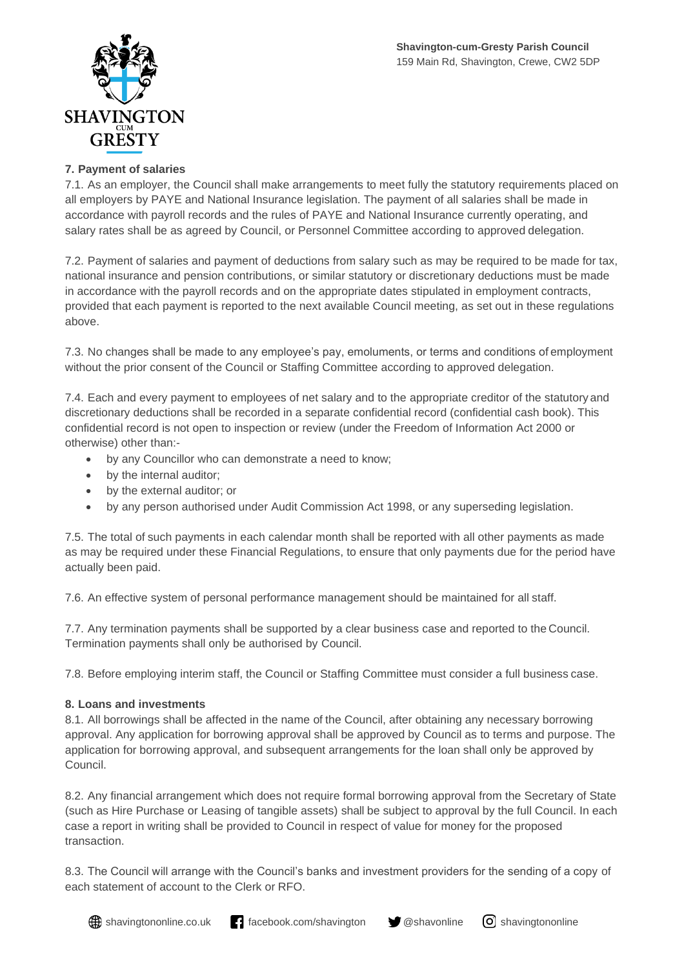

## **7. Payment of salaries**

7.1. As an employer, the Council shall make arrangements to meet fully the statutory requirements placed on all employers by PAYE and National Insurance legislation. The payment of all salaries shall be made in accordance with payroll records and the rules of PAYE and National Insurance currently operating, and salary rates shall be as agreed by Council, or Personnel Committee according to approved delegation.

7.2. Payment of salaries and payment of deductions from salary such as may be required to be made for tax, national insurance and pension contributions, or similar statutory or discretionary deductions must be made in accordance with the payroll records and on the appropriate dates stipulated in employment contracts, provided that each payment is reported to the next available Council meeting, as set out in these regulations above.

7.3. No changes shall be made to any employee's pay, emoluments, or terms and conditions of employment without the prior consent of the Council or Staffing Committee according to approved delegation.

7.4. Each and every payment to employees of net salary and to the appropriate creditor of the statutory and discretionary deductions shall be recorded in a separate confidential record (confidential cash book). This confidential record is not open to inspection or review (under the Freedom of Information Act 2000 or otherwise) other than:-

- by any Councillor who can demonstrate a need to know;
- by the internal auditor;
- by the external auditor; or
- by any person authorised under Audit Commission Act 1998, or any superseding legislation.

7.5. The total of such payments in each calendar month shall be reported with all other payments as made as may be required under these Financial Regulations, to ensure that only payments due for the period have actually been paid.

7.6. An effective system of personal performance management should be maintained for all staff.

7.7. Any termination payments shall be supported by a clear business case and reported to the Council. Termination payments shall only be authorised by Council.

7.8. Before employing interim staff, the Council or Staffing Committee must consider a full business case.

#### **8. Loans and investments**

8.1. All borrowings shall be affected in the name of the Council, after obtaining any necessary borrowing approval. Any application for borrowing approval shall be approved by Council as to terms and purpose. The application for borrowing approval, and subsequent arrangements for the loan shall only be approved by Council.

8.2. Any financial arrangement which does not require formal borrowing approval from the Secretary of State (such as Hire Purchase or Leasing of tangible assets) shall be subject to approval by the full Council. In each case a report in writing shall be provided to Council in respect of value for money for the proposed transaction.

8.3. The Council will arrange with the Council's banks and investment providers for the sending of a copy of each statement of account to the Clerk or RFO.

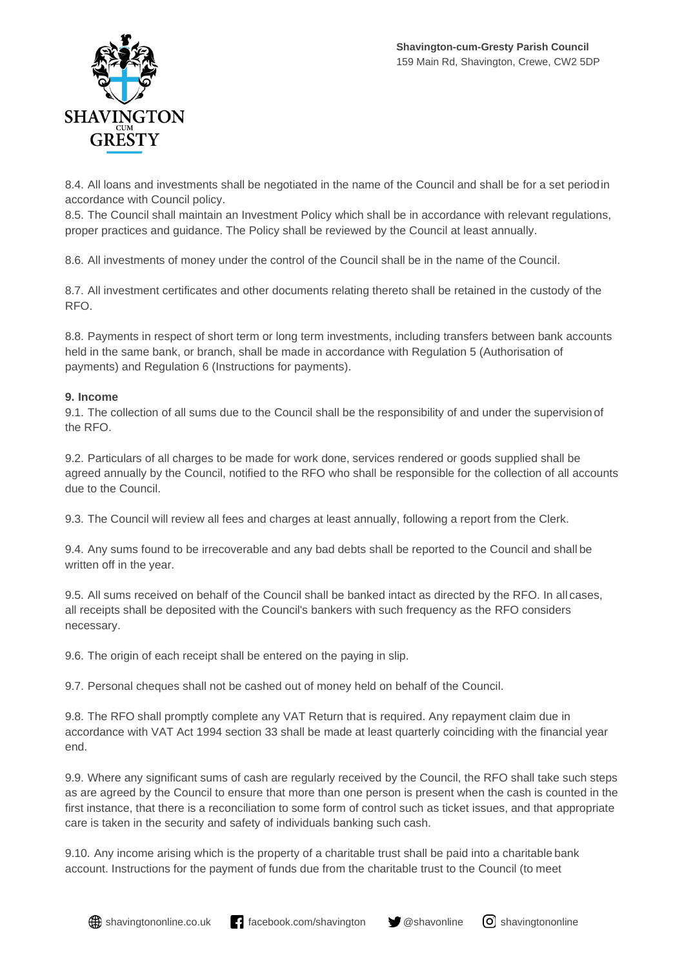

8.4. All loans and investments shall be negotiated in the name of the Council and shall be for a set periodin accordance with Council policy.

8.5. The Council shall maintain an Investment Policy which shall be in accordance with relevant regulations, proper practices and guidance. The Policy shall be reviewed by the Council at least annually.

8.6. All investments of money under the control of the Council shall be in the name of the Council.

8.7. All investment certificates and other documents relating thereto shall be retained in the custody of the RFO.

8.8. Payments in respect of short term or long term investments, including transfers between bank accounts held in the same bank, or branch, shall be made in accordance with Regulation 5 (Authorisation of payments) and Regulation 6 (Instructions for payments).

## **9. Income**

9.1. The collection of all sums due to the Council shall be the responsibility of and under the supervision of the RFO.

9.2. Particulars of all charges to be made for work done, services rendered or goods supplied shall be agreed annually by the Council, notified to the RFO who shall be responsible for the collection of all accounts due to the Council.

9.3. The Council will review all fees and charges at least annually, following a report from the Clerk.

9.4. Any sums found to be irrecoverable and any bad debts shall be reported to the Council and shall be written off in the year.

9.5. All sums received on behalf of the Council shall be banked intact as directed by the RFO. In all cases, all receipts shall be deposited with the Council's bankers with such frequency as the RFO considers necessary.

9.6. The origin of each receipt shall be entered on the paying in slip.

9.7. Personal cheques shall not be cashed out of money held on behalf of the Council.

9.8. The RFO shall promptly complete any VAT Return that is required. Any repayment claim due in accordance with VAT Act 1994 section 33 shall be made at least quarterly coinciding with the financial year end.

9.9. Where any significant sums of cash are regularly received by the Council, the RFO shall take such steps as are agreed by the Council to ensure that more than one person is present when the cash is counted in the first instance, that there is a reconciliation to some form of control such as ticket issues, and that appropriate care is taken in the security and safety of individuals banking such cash.

9.10. Any income arising which is the property of a charitable trust shall be paid into a charitable bank account. Instructions for the payment of funds due from the charitable trust to the Council (to meet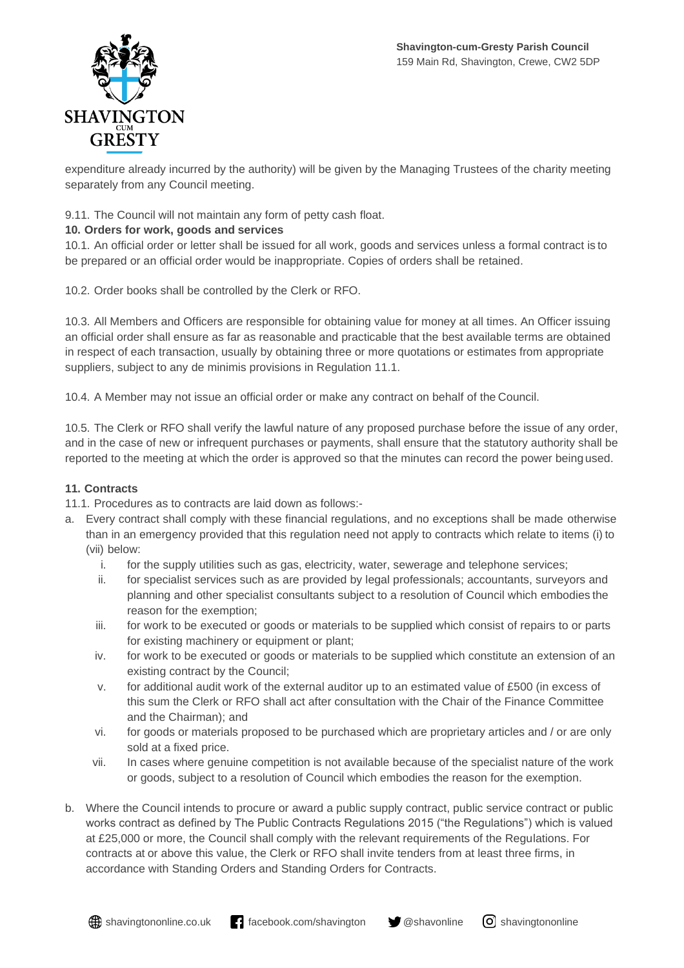

expenditure already incurred by the authority) will be given by the Managing Trustees of the charity meeting separately from any Council meeting.

9.11. The Council will not maintain any form of petty cash float.

# **10. Orders for work, goods and services**

10.1. An official order or letter shall be issued for all work, goods and services unless a formal contract is to be prepared or an official order would be inappropriate. Copies of orders shall be retained.

10.2. Order books shall be controlled by the Clerk or RFO.

10.3. All Members and Officers are responsible for obtaining value for money at all times. An Officer issuing an official order shall ensure as far as reasonable and practicable that the best available terms are obtained in respect of each transaction, usually by obtaining three or more quotations or estimates from appropriate suppliers, subject to any de minimis provisions in Regulation 11.1.

10.4. A Member may not issue an official order or make any contract on behalf of the Council.

10.5. The Clerk or RFO shall verify the lawful nature of any proposed purchase before the issue of any order, and in the case of new or infrequent purchases or payments, shall ensure that the statutory authority shall be reported to the meeting at which the order is approved so that the minutes can record the power being used.

# **11. Contracts**

11.1. Procedures as to contracts are laid down as follows:-

- a. Every contract shall comply with these financial regulations, and no exceptions shall be made otherwise than in an emergency provided that this regulation need not apply to contracts which relate to items (i) to (vii) below:
	- i. for the supply utilities such as gas, electricity, water, sewerage and telephone services;
	- ii. for specialist services such as are provided by legal professionals; accountants, surveyors and planning and other specialist consultants subject to a resolution of Council which embodies the reason for the exemption;
	- iii. for work to be executed or goods or materials to be supplied which consist of repairs to or parts for existing machinery or equipment or plant;
	- iv. for work to be executed or goods or materials to be supplied which constitute an extension of an existing contract by the Council;
	- v. for additional audit work of the external auditor up to an estimated value of £500 (in excess of this sum the Clerk or RFO shall act after consultation with the Chair of the Finance Committee and the Chairman); and
	- vi. for goods or materials proposed to be purchased which are proprietary articles and / or are only sold at a fixed price.
	- vii. In cases where genuine competition is not available because of the specialist nature of the work or goods, subject to a resolution of Council which embodies the reason for the exemption.
- b. Where the Council intends to procure or award a public supply contract, public service contract or public works contract as defined by The Public Contracts Regulations 2015 ("the Regulations") which is valued at £25,000 or more, the Council shall comply with the relevant requirements of the Regulations. For contracts at or above this value, the Clerk or RFO shall invite tenders from at least three firms, in accordance with Standing Orders and Standing Orders for Contracts.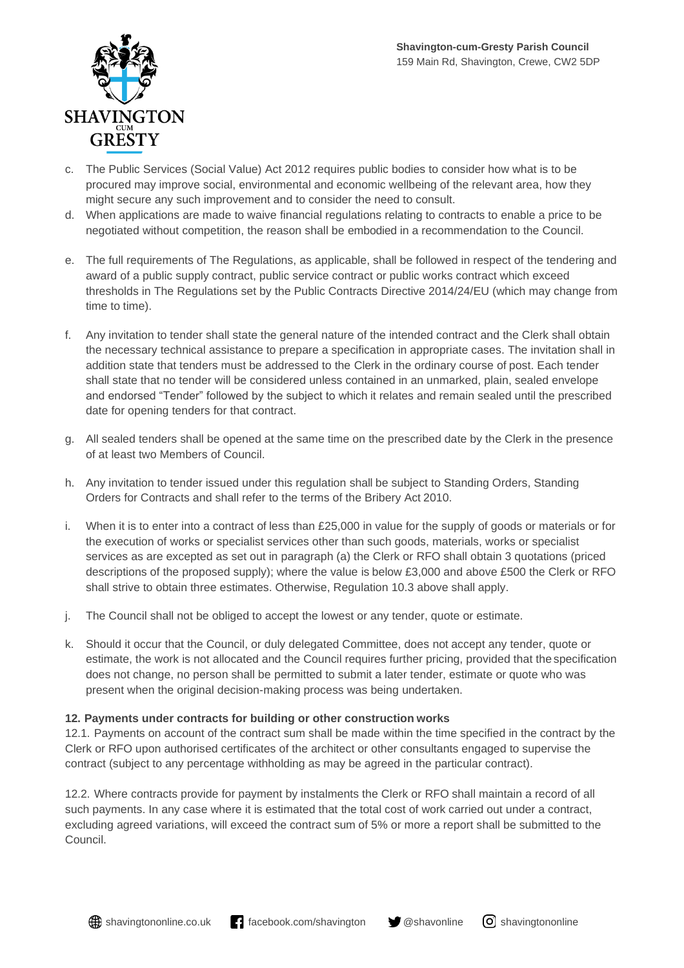

- c. The Public Services (Social Value) Act 2012 requires public bodies to consider how what is to be procured may improve social, environmental and economic wellbeing of the relevant area, how they might secure any such improvement and to consider the need to consult.
- d. When applications are made to waive financial regulations relating to contracts to enable a price to be negotiated without competition, the reason shall be embodied in a recommendation to the Council.
- e. The full requirements of The Regulations, as applicable, shall be followed in respect of the tendering and award of a public supply contract, public service contract or public works contract which exceed thresholds in The Regulations set by the Public Contracts Directive 2014/24/EU (which may change from time to time).
- f. Any invitation to tender shall state the general nature of the intended contract and the Clerk shall obtain the necessary technical assistance to prepare a specification in appropriate cases. The invitation shall in addition state that tenders must be addressed to the Clerk in the ordinary course of post. Each tender shall state that no tender will be considered unless contained in an unmarked, plain, sealed envelope and endorsed "Tender" followed by the subject to which it relates and remain sealed until the prescribed date for opening tenders for that contract.
- g. All sealed tenders shall be opened at the same time on the prescribed date by the Clerk in the presence of at least two Members of Council.
- h. Any invitation to tender issued under this regulation shall be subject to Standing Orders, Standing Orders for Contracts and shall refer to the terms of the Bribery Act 2010.
- i. When it is to enter into a contract of less than  $£25,000$  in value for the supply of goods or materials or for the execution of works or specialist services other than such goods, materials, works or specialist services as are excepted as set out in paragraph (a) the Clerk or RFO shall obtain 3 quotations (priced descriptions of the proposed supply); where the value is below £3,000 and above £500 the Clerk or RFO shall strive to obtain three estimates. Otherwise, Regulation 10.3 above shall apply.
- j. The Council shall not be obliged to accept the lowest or any tender, quote or estimate.
- k. Should it occur that the Council, or duly delegated Committee, does not accept any tender, quote or estimate, the work is not allocated and the Council requires further pricing, provided that the specification does not change, no person shall be permitted to submit a later tender, estimate or quote who was present when the original decision-making process was being undertaken.

#### **12. Payments under contracts for building or other construction works**

12.1. Payments on account of the contract sum shall be made within the time specified in the contract by the Clerk or RFO upon authorised certificates of the architect or other consultants engaged to supervise the contract (subject to any percentage withholding as may be agreed in the particular contract).

12.2. Where contracts provide for payment by instalments the Clerk or RFO shall maintain a record of all such payments. In any case where it is estimated that the total cost of work carried out under a contract, excluding agreed variations, will exceed the contract sum of 5% or more a report shall be submitted to the Council.

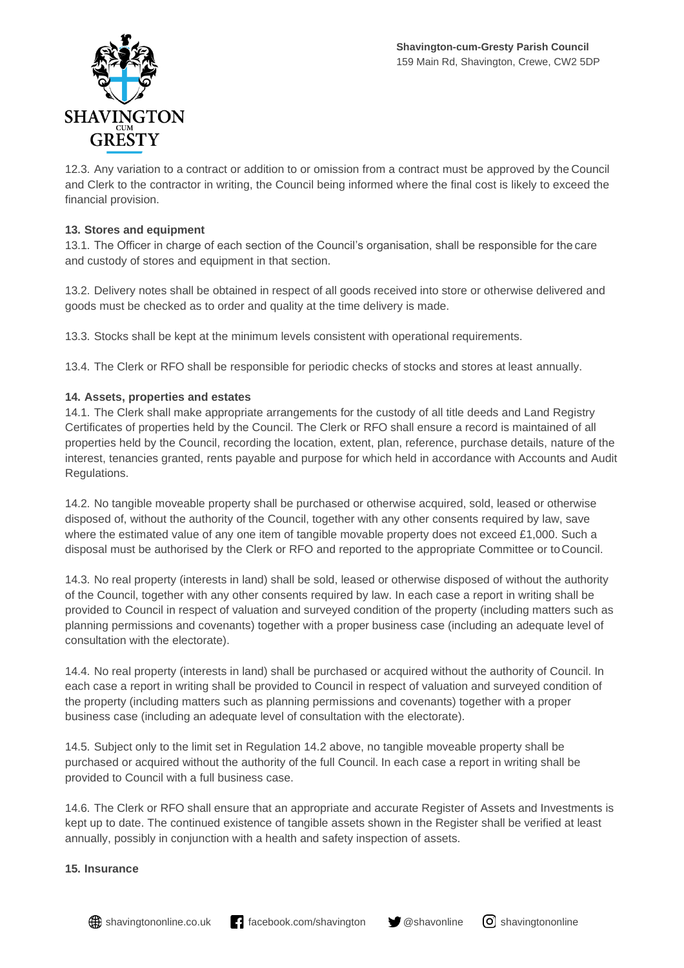

12.3. Any variation to a contract or addition to or omission from a contract must be approved by the Council and Clerk to the contractor in writing, the Council being informed where the final cost is likely to exceed the financial provision.

#### **13. Stores and equipment**

13.1. The Officer in charge of each section of the Council's organisation, shall be responsible for the care and custody of stores and equipment in that section.

13.2. Delivery notes shall be obtained in respect of all goods received into store or otherwise delivered and goods must be checked as to order and quality at the time delivery is made.

13.3. Stocks shall be kept at the minimum levels consistent with operational requirements.

13.4. The Clerk or RFO shall be responsible for periodic checks of stocks and stores at least annually.

#### **14. Assets, properties and estates**

14.1. The Clerk shall make appropriate arrangements for the custody of all title deeds and Land Registry Certificates of properties held by the Council. The Clerk or RFO shall ensure a record is maintained of all properties held by the Council, recording the location, extent, plan, reference, purchase details, nature of the interest, tenancies granted, rents payable and purpose for which held in accordance with Accounts and Audit Regulations.

14.2. No tangible moveable property shall be purchased or otherwise acquired, sold, leased or otherwise disposed of, without the authority of the Council, together with any other consents required by law, save where the estimated value of any one item of tangible movable property does not exceed £1,000. Such a disposal must be authorised by the Clerk or RFO and reported to the appropriate Committee or toCouncil.

14.3. No real property (interests in land) shall be sold, leased or otherwise disposed of without the authority of the Council, together with any other consents required by law. In each case a report in writing shall be provided to Council in respect of valuation and surveyed condition of the property (including matters such as planning permissions and covenants) together with a proper business case (including an adequate level of consultation with the electorate).

14.4. No real property (interests in land) shall be purchased or acquired without the authority of Council. In each case a report in writing shall be provided to Council in respect of valuation and surveyed condition of the property (including matters such as planning permissions and covenants) together with a proper business case (including an adequate level of consultation with the electorate).

14.5. Subject only to the limit set in Regulation 14.2 above, no tangible moveable property shall be purchased or acquired without the authority of the full Council. In each case a report in writing shall be provided to Council with a full business case.

14.6. The Clerk or RFO shall ensure that an appropriate and accurate Register of Assets and Investments is kept up to date. The continued existence of tangible assets shown in the Register shall be verified at least annually, possibly in conjunction with a health and safety inspection of assets.

#### **15. Insurance**

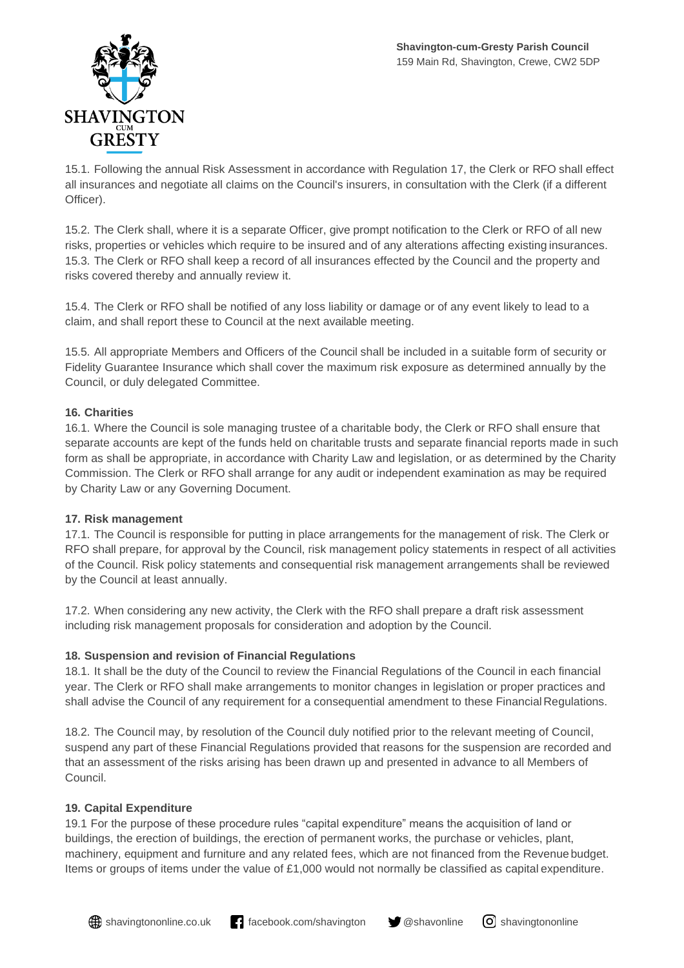

15.1. Following the annual Risk Assessment in accordance with Regulation 17, the Clerk or RFO shall effect all insurances and negotiate all claims on the Council's insurers, in consultation with the Clerk (if a different Officer).

15.2. The Clerk shall, where it is a separate Officer, give prompt notification to the Clerk or RFO of all new risks, properties or vehicles which require to be insured and of any alterations affecting existing insurances. 15.3. The Clerk or RFO shall keep a record of all insurances effected by the Council and the property and risks covered thereby and annually review it.

15.4. The Clerk or RFO shall be notified of any loss liability or damage or of any event likely to lead to a claim, and shall report these to Council at the next available meeting.

15.5. All appropriate Members and Officers of the Council shall be included in a suitable form of security or Fidelity Guarantee Insurance which shall cover the maximum risk exposure as determined annually by the Council, or duly delegated Committee.

# **16. Charities**

16.1. Where the Council is sole managing trustee of a charitable body, the Clerk or RFO shall ensure that separate accounts are kept of the funds held on charitable trusts and separate financial reports made in such form as shall be appropriate, in accordance with Charity Law and legislation, or as determined by the Charity Commission. The Clerk or RFO shall arrange for any audit or independent examination as may be required by Charity Law or any Governing Document.

# **17. Risk management**

17.1. The Council is responsible for putting in place arrangements for the management of risk. The Clerk or RFO shall prepare, for approval by the Council, risk management policy statements in respect of all activities of the Council. Risk policy statements and consequential risk management arrangements shall be reviewed by the Council at least annually.

17.2. When considering any new activity, the Clerk with the RFO shall prepare a draft risk assessment including risk management proposals for consideration and adoption by the Council.

# **18. Suspension and revision of Financial Regulations**

18.1. It shall be the duty of the Council to review the Financial Regulations of the Council in each financial year. The Clerk or RFO shall make arrangements to monitor changes in legislation or proper practices and shall advise the Council of any requirement for a consequential amendment to these Financial Regulations.

18.2. The Council may, by resolution of the Council duly notified prior to the relevant meeting of Council, suspend any part of these Financial Regulations provided that reasons for the suspension are recorded and that an assessment of the risks arising has been drawn up and presented in advance to all Members of Council.

# **19. Capital Expenditure**

19.1 For the purpose of these procedure rules "capital expenditure" means the acquisition of land or buildings, the erection of buildings, the erection of permanent works, the purchase or vehicles, plant, machinery, equipment and furniture and any related fees, which are not financed from the Revenue budget. Items or groups of items under the value of £1,000 would not normally be classified as capital expenditure.